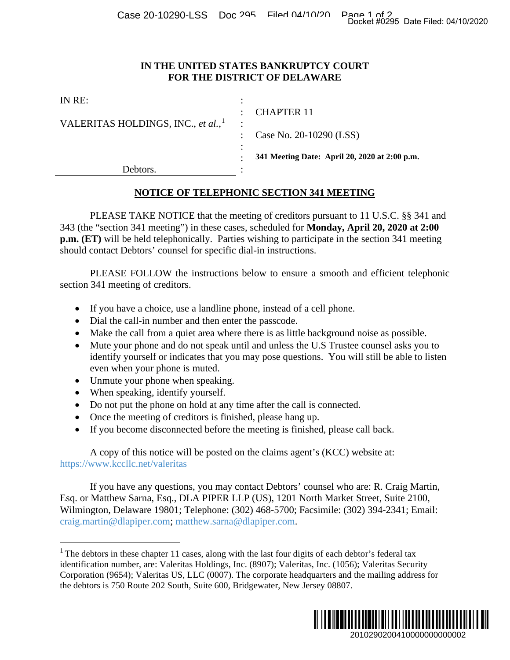Case 20-10290-LSS Doc 295 Filed 04/10/20 Page 1 of 2<br>Docket #0295 Date Filed: 04/10/2020

## **IN THE UNITED STATES BANKRUPTCY COURT FOR THE DISTRICT OF DELAWARE**

|                                                                                                                                                                                                                                                                                                                                                                                                                                                                                                     | Docket #0295 Date Filed: 04/10/2020                                                                                                                                                                                                                                                                                                                                                                                                                                                                                                                                                                                                                                                                                                          |
|-----------------------------------------------------------------------------------------------------------------------------------------------------------------------------------------------------------------------------------------------------------------------------------------------------------------------------------------------------------------------------------------------------------------------------------------------------------------------------------------------------|----------------------------------------------------------------------------------------------------------------------------------------------------------------------------------------------------------------------------------------------------------------------------------------------------------------------------------------------------------------------------------------------------------------------------------------------------------------------------------------------------------------------------------------------------------------------------------------------------------------------------------------------------------------------------------------------------------------------------------------------|
|                                                                                                                                                                                                                                                                                                                                                                                                                                                                                                     | IN THE UNITED STATES BANKRUPTCY COURT<br>FOR THE DISTRICT OF DELAWARE                                                                                                                                                                                                                                                                                                                                                                                                                                                                                                                                                                                                                                                                        |
| IN RE:<br>VALERITAS HOLDINGS, INC., et al., <sup>1</sup>                                                                                                                                                                                                                                                                                                                                                                                                                                            | <b>CHAPTER 11</b><br>Case No. 20-10290 (LSS)<br>341 Meeting Date: April 20, 2020 at 2:00 p.m.                                                                                                                                                                                                                                                                                                                                                                                                                                                                                                                                                                                                                                                |
| Debtors.                                                                                                                                                                                                                                                                                                                                                                                                                                                                                            |                                                                                                                                                                                                                                                                                                                                                                                                                                                                                                                                                                                                                                                                                                                                              |
|                                                                                                                                                                                                                                                                                                                                                                                                                                                                                                     | NOTICE OF TELEPHONIC SECTION 341 MEETING                                                                                                                                                                                                                                                                                                                                                                                                                                                                                                                                                                                                                                                                                                     |
| should contact Debtors' counsel for specific dial-in instructions.<br>section 341 meeting of creditors.<br>If you have a choice, use a landline phone, instead of a cell phone.<br>Dial the call-in number and then enter the passcode.<br>٠<br>٠<br>even when your phone is muted.<br>Unmute your phone when speaking.<br>When speaking, identify yourself.<br>Do not put the phone on hold at any time after the call is connected.<br>Once the meeting of creditors is finished, please hang up. | PLEASE TAKE NOTICE that the meeting of creditors pursuant to 11 U.S.C. §§ 341 and<br>343 (the "section 341 meeting") in these cases, scheduled for Monday, April 20, 2020 at 2:00<br>p.m. (ET) will be held telephonically. Parties wishing to participate in the section 341 meeting<br>PLEASE FOLLOW the instructions below to ensure a smooth and efficient telephonic<br>Make the call from a quiet area where there is as little background noise as possible.<br>Mute your phone and do not speak until and unless the U.S Trustee counsel asks you to<br>identify yourself or indicates that you may pose questions. You will still be able to listen<br>If you become disconnected before the meeting is finished, please call back. |
| https://www.kccllc.net/valeritas                                                                                                                                                                                                                                                                                                                                                                                                                                                                    | A copy of this notice will be posted on the claims agent's (KCC) website at:                                                                                                                                                                                                                                                                                                                                                                                                                                                                                                                                                                                                                                                                 |
| craig.martin@dlapiper.com; matthew.sarna@dlapiper.com.                                                                                                                                                                                                                                                                                                                                                                                                                                              | If you have any questions, you may contact Debtors' counsel who are: R. Craig Martin,<br>Esq. or Matthew Sarna, Esq., DLA PIPER LLP (US), 1201 North Market Street, Suite 2100,<br>Wilmington, Delaware 19801; Telephone: (302) 468-5700; Facsimile: (302) 394-2341; Email:                                                                                                                                                                                                                                                                                                                                                                                                                                                                  |
| the debtors is 750 Route 202 South, Suite 600, Bridgewater, New Jersey 08807.                                                                                                                                                                                                                                                                                                                                                                                                                       | $1$ The debtors in these chapter 11 cases, along with the last four digits of each debtor's federal tax<br>identification number, are: Valeritas Holdings, Inc. (8907); Valeritas, Inc. (1056); Valeritas Security<br>Corporation (9654); Valeritas US, LLC (0007). The corporate headquarters and the mailing address for                                                                                                                                                                                                                                                                                                                                                                                                                   |
|                                                                                                                                                                                                                                                                                                                                                                                                                                                                                                     | 2010290200410000000000002                                                                                                                                                                                                                                                                                                                                                                                                                                                                                                                                                                                                                                                                                                                    |

## **NOTICE OF TELEPHONIC SECTION 341 MEETING**

- If you have a choice, use a landline phone, instead of a cell phone.
- Dial the call-in number and then enter the passcode.
- Make the call from a quiet area where there is as little background noise as possible.
- Mute your phone and do not speak until and unless the U.S Trustee counsel asks you to identify yourself or indicates that you may pose questions. You will still be able to listen even when your phone is muted.
- Unmute your phone when speaking.
- When speaking, identify yourself.
- Do not put the phone on hold at any time after the call is connected.
- Once the meeting of creditors is finished, please hang up.
- If you become disconnected before the meeting is finished, please call back.

<span id="page-0-0"></span><sup>&</sup>lt;sup>1</sup> The debtors in these chapter 11 cases, along with the last four digits of each debtor's federal tax identification number, are: Valeritas Holdings, Inc. (8907); Valeritas, Inc. (1056); Valeritas Security Corporation (9654); Valeritas US, LLC (0007). The corporate headquarters and the mailing address for the debtors is 750 Route 202 South, Suite 600, Bridgewater, New Jersey 08807.